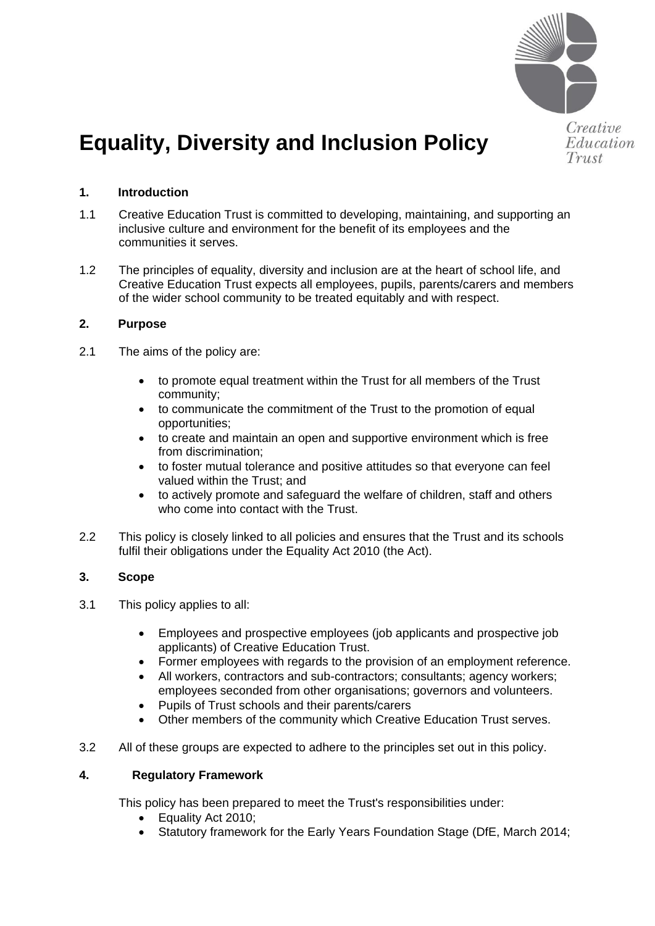

# **Equality, Diversity and Inclusion Policy**

# **1. Introduction**

- 1.1 Creative Education Trust is committed to developing, maintaining, and supporting an inclusive culture and environment for the benefit of its employees and the communities it serves.
- 1.2 The principles of equality, diversity and inclusion are at the heart of school life, and Creative Education Trust expects all employees, pupils, parents/carers and members of the wider school community to be treated equitably and with respect.

## **2. Purpose**

- 2.1 The aims of the policy are:
	- to promote equal treatment within the Trust for all members of the Trust community;
	- to communicate the commitment of the Trust to the promotion of equal opportunities;
	- to create and maintain an open and supportive environment which is free from discrimination;
	- to foster mutual tolerance and positive attitudes so that everyone can feel valued within the Trust; and
	- to actively promote and safeguard the welfare of children, staff and others who come into contact with the Trust.
- 2.2 This policy is closely linked to all policies and ensures that the Trust and its schools fulfil their obligations under the Equality Act 2010 (the Act).

## **3. Scope**

- 3.1 This policy applies to all:
	- Employees and prospective employees (job applicants and prospective job applicants) of Creative Education Trust.
	- Former employees with regards to the provision of an employment reference.
	- All workers, contractors and sub-contractors; consultants; agency workers; employees seconded from other organisations; governors and volunteers.
	- Pupils of Trust schools and their parents/carers
	- Other members of the community which Creative Education Trust serves.
- 3.2 All of these groups are expected to adhere to the principles set out in this policy.

#### **4. Regulatory Framework**

This policy has been prepared to meet the Trust's responsibilities under:

- Equality Act 2010;
- Statutory framework for the Early Years Foundation Stage (DfE, March 2014;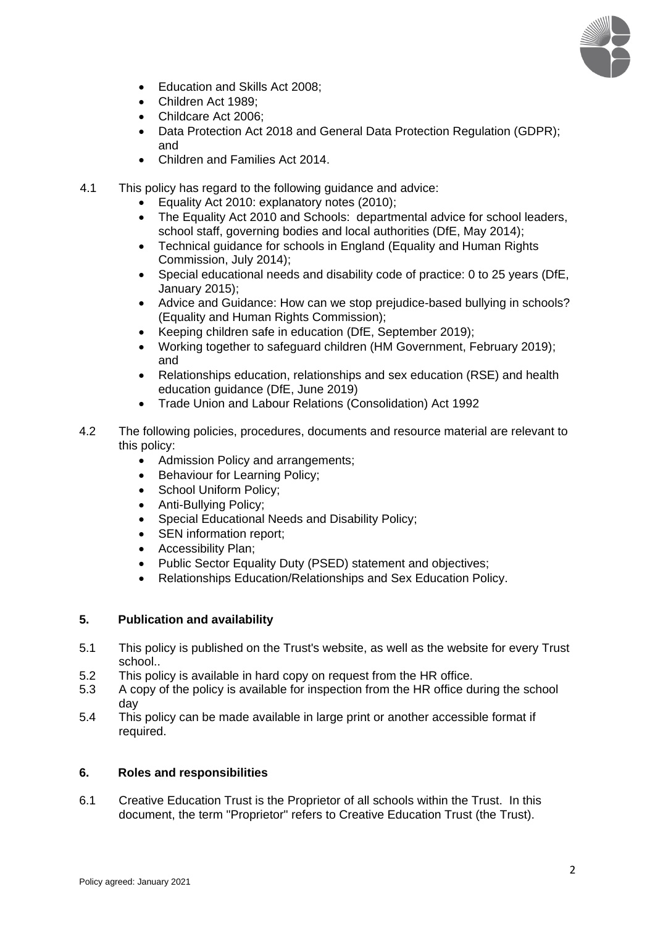

- Education and Skills Act 2008;
- Children Act 1989;
- Childcare Act 2006;
- Data Protection Act 2018 and General Data Protection Regulation (GDPR); and
- Children and Families Act 2014.
- 4.1 This policy has regard to the following guidance and advice:
	- [Equality Act 2010: explanatory notes \(2010\);](http://www.legislation.gov.uk/ukpga/2010/15/notes/data.pdf)
	- [The Equality Act 2010 and Schools: departmental advice for school leaders,](https://www.gov.uk/government/publications/equality-act-2010-advice-for-schools)  [school staff, governing bodies and local authorities \(DfE, May 2014\);](https://www.gov.uk/government/publications/equality-act-2010-advice-for-schools)
	- [Technical guidance for schools in England \(Equality and Human Rights](https://www.equalityhumanrights.com/en/publication-download/technical-guidance-schools-england)  [Commission, July 2014\);](https://www.equalityhumanrights.com/en/publication-download/technical-guidance-schools-england)
	- [Special educational needs and disability code of practice: 0 to 25 years \(DfE,](https://www.gov.uk/government/publications/send-code-of-practice-0-to-25)  [January 2015\);](https://www.gov.uk/government/publications/send-code-of-practice-0-to-25)
	- [Advice and Guidance: How can we stop prejudice-based](https://www.equalityhumanrights.com/en/advice-and-guidance/how-can-we-stop-prejudice-based-bullying-schools) bullying in schools? (Equality and Human Rights Commission);
	- [Keeping children safe in education](https://www.gov.uk/government/publications/keeping-children-safe-in-education--2) (DfE, September 2019);
	- [Working together to safeguard children \(HM Government, February 2019\);](https://www.gov.uk/government/publications/working-together-to-safeguard-children--2) and
	- Relationships education, relationships and sex education (RSE) and health education guidance (DfE, June 2019)
	- Trade Union and Labour Relations (Consolidation) Act 1992
- 4.2 The following policies, procedures, documents and resource material are relevant to this policy:
	- Admission Policy and arrangements:
	- Behaviour for Learning Policy;
	- School Uniform Policy;
	- Anti-Bullying Policy;
	- Special Educational Needs and Disability Policy;
	- SEN information report;
	- Accessibility Plan;
	- Public Sector Equality Duty (PSED) statement and objectives:
	- Relationships Education/Relationships and Sex Education Policy.

# **5. Publication and availability**

- 5.1 This policy is published on the Trust's website, as well as the website for every Trust school..
- 5.2 This policy is available in hard copy on request from the HR office.
- 5.3 A copy of the policy is available for inspection from the HR office during the school day
- 5.4 This policy can be made available in large print or another accessible format if required.

## **6. Roles and responsibilities**

6.1 Creative Education Trust is the Proprietor of all schools within the Trust. In this document, the term "Proprietor" refers to Creative Education Trust (the Trust).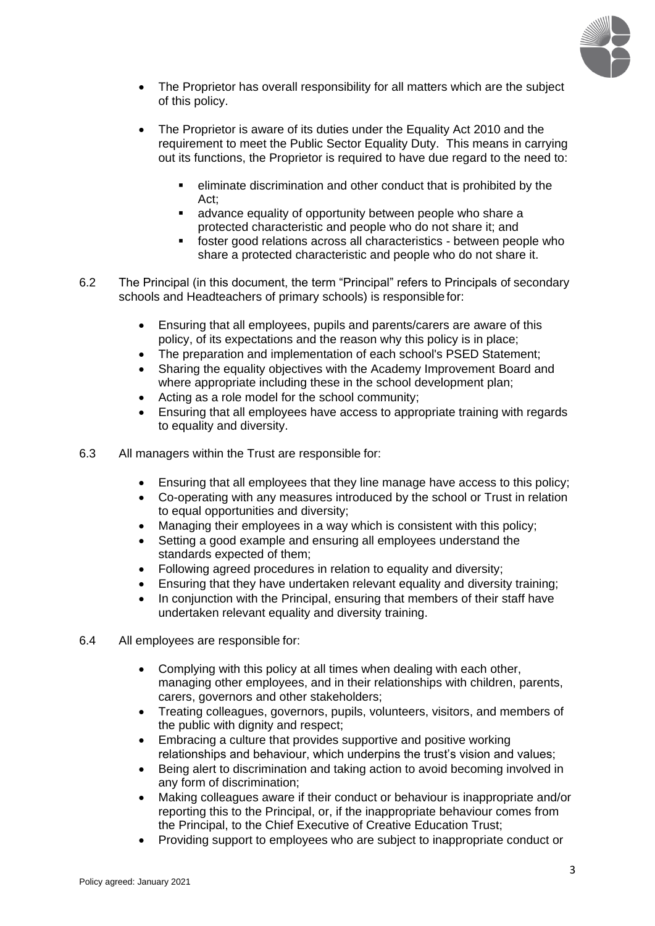

- The Proprietor has overall responsibility for all matters which are the subject of this policy.
- The Proprietor is aware of its duties under the Equality Act 2010 and the requirement to meet the Public Sector Equality Duty. This means in carrying out its functions, the Proprietor is required to have due regard to the need to:
	- eliminate discrimination and other conduct that is prohibited by the Act;
	- advance equality of opportunity between people who share a protected characteristic and people who do not share it; and
	- foster good relations across all characteristics between people who share a protected characteristic and people who do not share it.
- 6.2 The Principal (in this document, the term "Principal" refers to Principals of secondary schools and Headteachers of primary schools) is responsible for:
	- Ensuring that all employees, pupils and parents/carers are aware of this policy, of its expectations and the reason why this policy is in place;
	- The preparation and implementation of each school's PSED Statement;
	- Sharing the equality objectives with the Academy Improvement Board and where appropriate including these in the school development plan;
	- Acting as a role model for the school community;
	- Ensuring that all employees have access to appropriate training with regards to equality and diversity.
- 6.3 All managers within the Trust are responsible for:
	- Ensuring that all employees that they line manage have access to this policy;
	- Co-operating with any measures introduced by the school or Trust in relation to equal opportunities and diversity;
	- Managing their employees in a way which is consistent with this policy;
	- Setting a good example and ensuring all employees understand the standards expected of them;
	- Following agreed procedures in relation to equality and diversity;
	- Ensuring that they have undertaken relevant equality and diversity training;
	- In conjunction with the Principal, ensuring that members of their staff have undertaken relevant equality and diversity training.
- 6.4 All employees are responsible for:
	- Complying with this policy at all times when dealing with each other, managing other employees, and in their relationships with children, parents, carers, governors and other stakeholders;
	- Treating colleagues, governors, pupils, volunteers, visitors, and members of the public with dignity and respect;
	- Embracing a culture that provides supportive and positive working relationships and behaviour, which underpins the trust's vision and values;
	- Being alert to discrimination and taking action to avoid becoming involved in any form of discrimination;
	- Making colleagues aware if their conduct or behaviour is inappropriate and/or reporting this to the Principal, or, if the inappropriate behaviour comes from the Principal, to the Chief Executive of Creative Education Trust;
	- Providing support to employees who are subject to inappropriate conduct or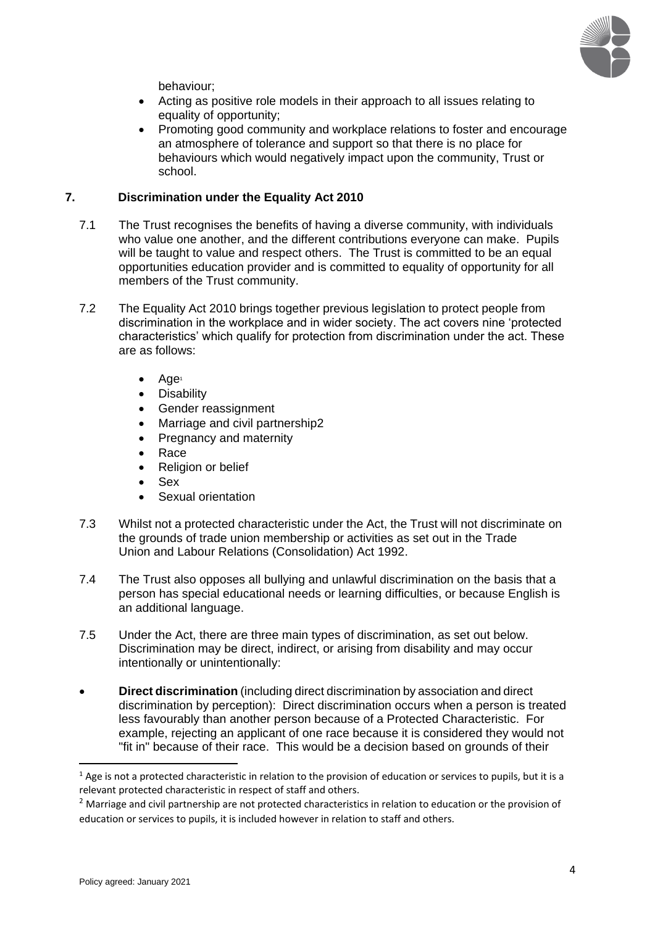

behaviour;

- Acting as positive role models in their approach to all issues relating to equality of opportunity;
- Promoting good community and workplace relations to foster and encourage an atmosphere of tolerance and support so that there is no place for behaviours which would negatively impact upon the community, Trust or school.

## **7. Discrimination under the Equality Act 2010**

- 7.1 The Trust recognises the benefits of having a diverse community, with individuals who value one another, and the different contributions everyone can make. Pupils will be taught to value and respect others. The Trust is committed to be an equal opportunities education provider and is committed to equality of opportunity for all members of the Trust community.
- 7.2 The Equality Act 2010 brings together previous legislation to protect people from discrimination in the workplace and in wider society. The act covers nine 'protected characteristics' which qualify for protection from discrimination under the act. These are as follows:
	- Age<sup>1</sup>
	- **Disability**
	- Gender reassignment
	- Marriage and civil partnership2
	- Pregnancy and maternity
	- Race
	- Religion or belief
	- Sex
	- Sexual orientation
- 7.3 Whilst not a protected characteristic under the Act, the Trust will not discriminate on the grounds of trade union membership or activities as set out in the Trade Union and Labour Relations (Consolidation) Act 1992.
- 7.4 The Trust also opposes all bullying and unlawful discrimination on the basis that a person has special educational needs or learning difficulties, or because English is an additional language.
- 7.5 Under the Act, there are three main types of discrimination, as set out below. Discrimination may be direct, indirect, or arising from disability and may occur intentionally or unintentionally:
- **Direct discrimination** (including direct discrimination by association and direct discrimination by perception): Direct discrimination occurs when a person is treated less favourably than another person because of a Protected Characteristic. For example, rejecting an applicant of one race because it is considered they would not "fit in" because of their race. This would be a decision based on grounds of their

 $1$  Age is not a protected characteristic in relation to the provision of education or services to pupils, but it is a relevant protected characteristic in respect of staff and others.

 $<sup>2</sup>$  Marriage and civil partnership are not protected characteristics in relation to education or the provision of</sup> education or services to pupils, it is included however in relation to staff and others.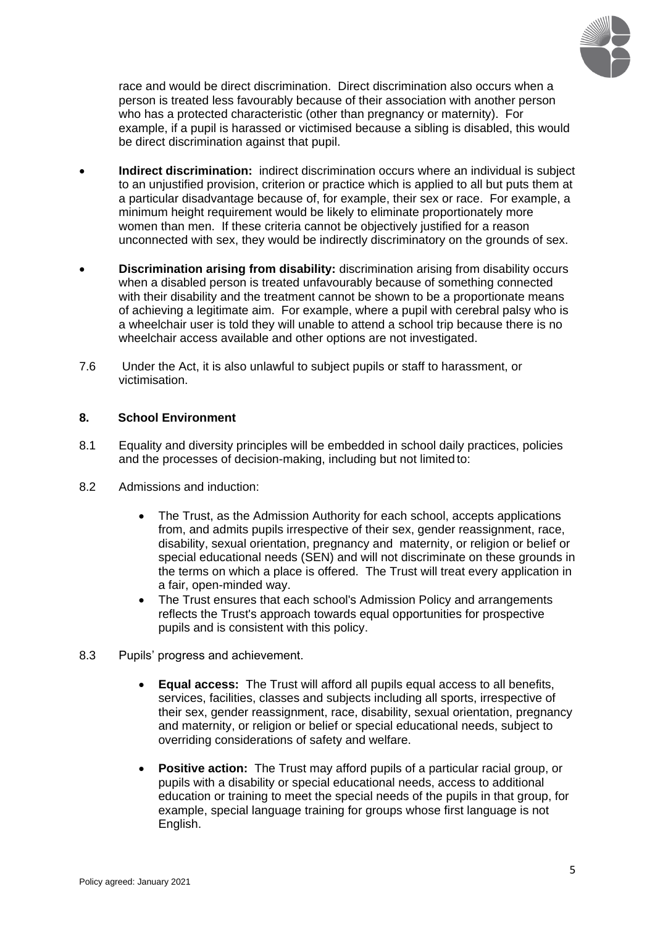

race and would be direct discrimination. Direct discrimination also occurs when a person is treated less favourably because of their association with another person who has a protected characteristic (other than pregnancy or maternity). For example, if a pupil is harassed or victimised because a sibling is disabled, this would be direct discrimination against that pupil.

- **Indirect discrimination:** indirect discrimination occurs where an individual is subject to an unjustified provision, criterion or practice which is applied to all but puts them at a particular disadvantage because of, for example, their sex or race. For example, a minimum height requirement would be likely to eliminate proportionately more women than men. If these criteria cannot be objectively justified for a reason unconnected with sex, they would be indirectly discriminatory on the grounds of sex.
- **Discrimination arising from disability:** discrimination arising from disability occurs when a disabled person is treated unfavourably because of something connected with their disability and the treatment cannot be shown to be a proportionate means of achieving a legitimate aim. For example, where a pupil with cerebral palsy who is a wheelchair user is told they will unable to attend a school trip because there is no wheelchair access available and other options are not investigated.
- 7.6 Under the Act, it is also unlawful to subject pupils or staff to harassment, or victimisation.

## **8. School Environment**

- 8.1 Equality and diversity principles will be embedded in school daily practices, policies and the processes of decision-making, including but not limited to:
- 8.2 Admissions and induction:
	- The Trust, as the Admission Authority for each school, accepts applications from, and admits pupils irrespective of their sex, gender reassignment, race, disability, sexual orientation, pregnancy and maternity, or religion or belief or special educational needs (SEN) and will not discriminate on these grounds in the terms on which a place is offered. The Trust will treat every application in a fair, open-minded way.
	- The Trust ensures that each school's Admission Policy and arrangements reflects the Trust's approach towards equal opportunities for prospective pupils and is consistent with this policy.
- 8.3 Pupils' progress and achievement.
	- **Equal access:** The Trust will afford all pupils equal access to all benefits, services, facilities, classes and subjects including all sports, irrespective of their sex, gender reassignment, race, disability, sexual orientation, pregnancy and maternity, or religion or belief or special educational needs, subject to overriding considerations of safety and welfare.
	- **Positive action:** The Trust may afford pupils of a particular racial group, or pupils with a disability or special educational needs, access to additional education or training to meet the special needs of the pupils in that group, for example, special language training for groups whose first language is not English.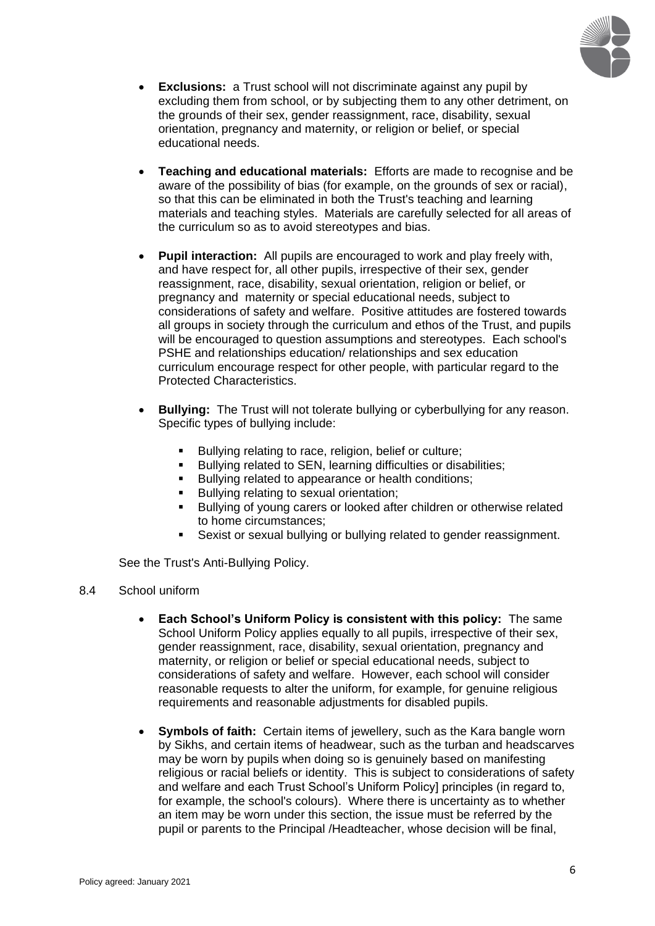

- **Exclusions:** a Trust school will not discriminate against any pupil by excluding them from school, or by subjecting them to any other detriment, on the grounds of their sex, gender reassignment, race, disability, sexual orientation, pregnancy and maternity, or religion or belief, or special educational needs.
- **Teaching and educational materials:** Efforts are made to recognise and be aware of the possibility of bias (for example, on the grounds of sex or racial), so that this can be eliminated in both the Trust's teaching and learning materials and teaching styles. Materials are carefully selected for all areas of the curriculum so as to avoid stereotypes and bias.
- **Pupil interaction:** All pupils are encouraged to work and play freely with, and have respect for, all other pupils, irrespective of their sex, gender reassignment, race, disability, sexual orientation, religion or belief, or pregnancy and maternity or special educational needs, subject to considerations of safety and welfare. Positive attitudes are fostered towards all groups in society through the curriculum and ethos of the Trust, and pupils will be encouraged to question assumptions and stereotypes. Each school's PSHE and relationships education/ relationships and sex education curriculum encourage respect for other people, with particular regard to the Protected Characteristics.
- **Bullying:** The Trust will not tolerate bullying or cyberbullying for any reason. Specific types of bullying include:
	- Bullying relating to race, religion, belief or culture;<br>■ Bullying related to SEN learning difficulties or disa
	- Bullying related to SEN, learning difficulties or disabilities;
	- Bullying related to appearance or health conditions;
	- Bullying relating to sexual orientation;
	- Bullying of young carers or looked after children or otherwise related to home circumstances;
	- Sexist or sexual bullying or bullying related to gender reassignment.

See the Trust's Anti-Bullying Policy.

- 8.4 School uniform
	- **Each School's Uniform Policy is consistent with this policy:** The same School Uniform Policy applies equally to all pupils, irrespective of their sex, gender reassignment, race, disability, sexual orientation, pregnancy and maternity, or religion or belief or special educational needs, subject to considerations of safety and welfare. However, each school will consider reasonable requests to alter the uniform, for example, for genuine religious requirements and reasonable adjustments for disabled pupils.
	- **Symbols of faith:** Certain items of jewellery, such as the Kara bangle worn by Sikhs, and certain items of headwear, such as the turban and headscarves may be worn by pupils when doing so is genuinely based on manifesting religious or racial beliefs or identity. This is subject to considerations of safety and welfare and each Trust School's Uniform Policy] principles (in regard to, for example, the school's colours). Where there is uncertainty as to whether an item may be worn under this section, the issue must be referred by the pupil or parents to the Principal /Headteacher, whose decision will be final,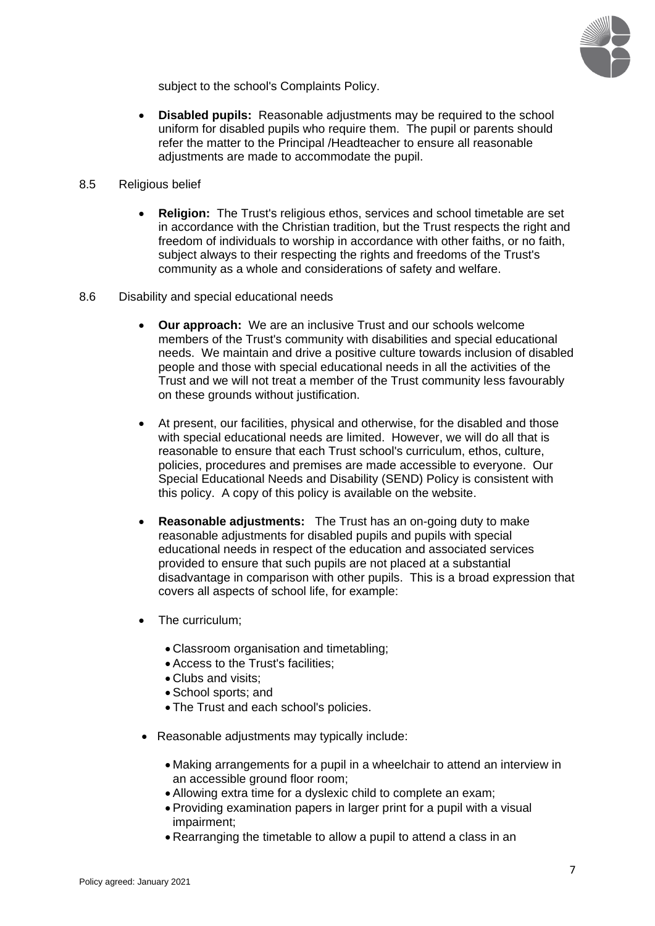

subject to the school's Complaints Policy.

- **Disabled pupils:** Reasonable adjustments may be required to the school uniform for disabled pupils who require them. The pupil or parents should refer the matter to the Principal /Headteacher to ensure all reasonable adjustments are made to accommodate the pupil.
- 8.5 Religious belief
	- **Religion:** The Trust's religious ethos, services and school timetable are set in accordance with the Christian tradition, but the Trust respects the right and freedom of individuals to worship in accordance with other faiths, or no faith, subject always to their respecting the rights and freedoms of the Trust's community as a whole and considerations of safety and welfare.
- 8.6 Disability and special educational needs
	- **Our approach:** We are an inclusive Trust and our schools welcome members of the Trust's community with disabilities and special educational needs. We maintain and drive a positive culture towards inclusion of disabled people and those with special educational needs in all the activities of the Trust and we will not treat a member of the Trust community less favourably on these grounds without justification.
	- At present, our facilities, physical and otherwise, for the disabled and those with special educational needs are limited. However, we will do all that is reasonable to ensure that each Trust school's curriculum, ethos, culture, policies, procedures and premises are made accessible to everyone. Our Special Educational Needs and Disability (SEND) Policy is consistent with this policy. A copy of this policy is available on the website.
	- **Reasonable adjustments:** The Trust has an on-going duty to make reasonable adjustments for disabled pupils and pupils with special educational needs in respect of the education and associated services provided to ensure that such pupils are not placed at a substantial disadvantage in comparison with other pupils. This is a broad expression that covers all aspects of school life, for example:
	- The curriculum;
		- Classroom organisation and timetabling;
		- Access to the Trust's facilities;
		- Clubs and visits:
		- School sports; and
		- The Trust and each school's policies.
	- Reasonable adjustments may typically include:
		- Making arrangements for a pupil in a wheelchair to attend an interview in an accessible ground floor room;
		- Allowing extra time for a dyslexic child to complete an exam;
		- Providing examination papers in larger print for a pupil with a visual impairment;
		- Rearranging the timetable to allow a pupil to attend a class in an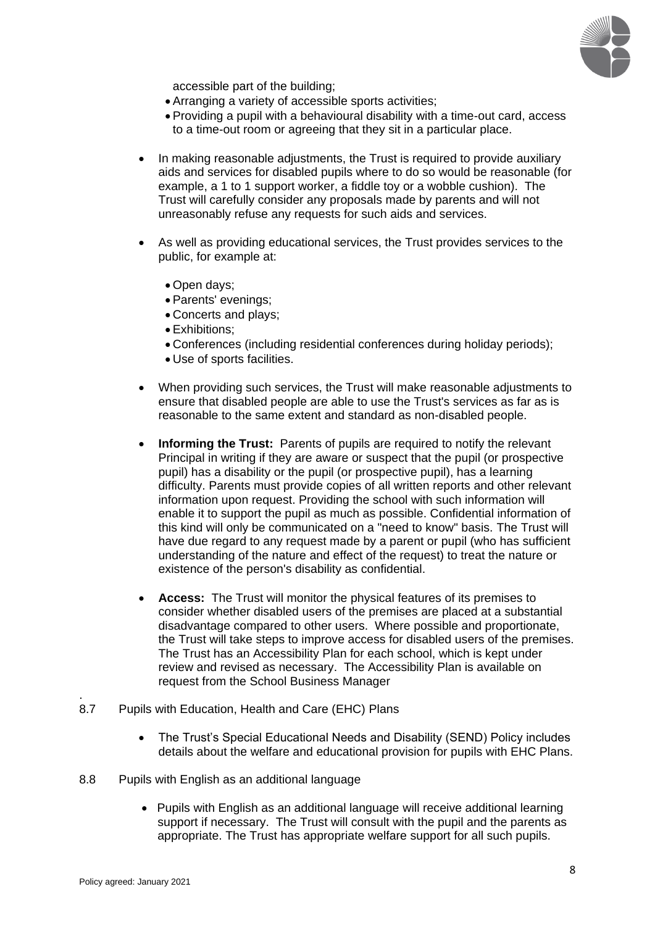

accessible part of the building;

- Arranging a variety of accessible sports activities;
- Providing a pupil with a behavioural disability with a time-out card, access to a time-out room or agreeing that they sit in a particular place.
- In making reasonable adjustments, the Trust is required to provide auxiliary aids and services for disabled pupils where to do so would be reasonable (for example, a 1 to 1 support worker, a fiddle toy or a wobble cushion). The Trust will carefully consider any proposals made by parents and will not unreasonably refuse any requests for such aids and services.
- As well as providing educational services, the Trust provides services to the public, for example at:
	- Open days;
	- Parents' evenings;
	- Concerts and plays;
	- Exhibitions;
	- Conferences (including residential conferences during holiday periods);
	- Use of sports facilities.
- When providing such services, the Trust will make reasonable adjustments to ensure that disabled people are able to use the Trust's services as far as is reasonable to the same extent and standard as non-disabled people.
- **Informing the Trust:** Parents of pupils are required to notify the relevant Principal in writing if they are aware or suspect that the pupil (or prospective pupil) has a disability or the pupil (or prospective pupil), has a learning difficulty. Parents must provide copies of all written reports and other relevant information upon request. Providing the school with such information will enable it to support the pupil as much as possible. Confidential information of this kind will only be communicated on a "need to know" basis. The Trust will have due regard to any request made by a parent or pupil (who has sufficient understanding of the nature and effect of the request) to treat the nature or existence of the person's disability as confidential.
- **Access:** The Trust will monitor the physical features of its premises to consider whether disabled users of the premises are placed at a substantial disadvantage compared to other users. Where possible and proportionate, the Trust will take steps to improve access for disabled users of the premises. The Trust has an Accessibility Plan for each school, which is kept under review and revised as necessary. The Accessibility Plan is available on request from the School Business Manager
- 8.7 Pupils with Education, Health and Care (EHC) Plans
	- The Trust's Special Educational Needs and Disability (SEND) Policy includes details about the welfare and educational provision for pupils with EHC Plans.
- 8.8 Pupils with English as an additional language
	- Pupils with English as an additional language will receive additional learning support if necessary. The Trust will consult with the pupil and the parents as appropriate. The Trust has appropriate welfare support for all such pupils.

.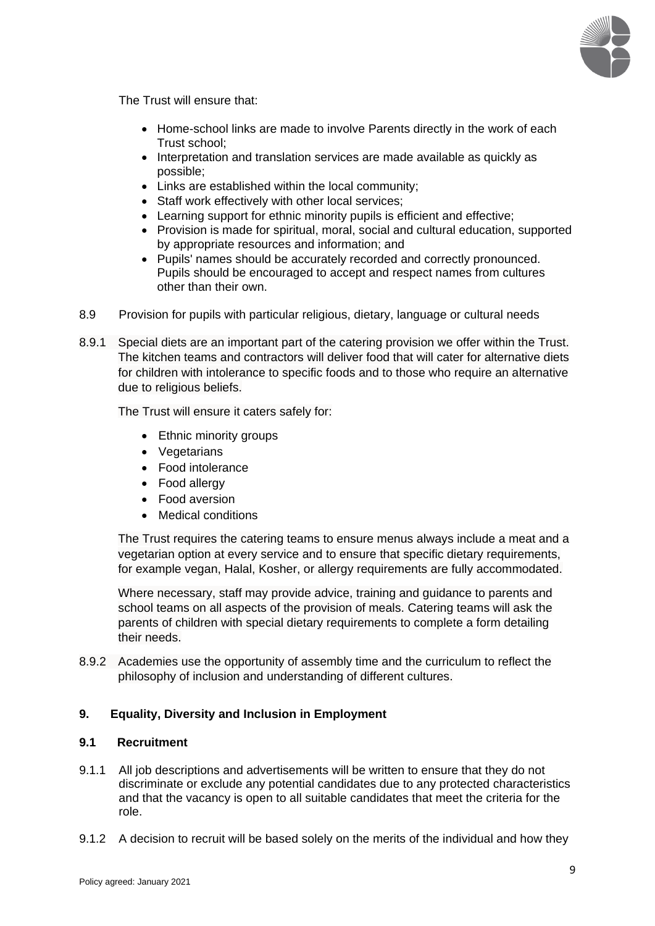

The Trust will ensure that:

- Home-school links are made to involve Parents directly in the work of each Trust school;
- Interpretation and translation services are made available as quickly as possible;
- Links are established within the local community;
- Staff work effectively with other local services;
- Learning support for ethnic minority pupils is efficient and effective;
- Provision is made for spiritual, moral, social and cultural education, supported by appropriate resources and information; and
- Pupils' names should be accurately recorded and correctly pronounced. Pupils should be encouraged to accept and respect names from cultures other than their own.
- 8.9 Provision for pupils with particular religious, dietary, language or cultural needs
- 8.9.1 Special diets are an important part of the catering provision we offer within the Trust. The kitchen teams and contractors will deliver food that will cater for alternative diets for children with intolerance to specific foods and to those who require an alternative due to religious beliefs.

The Trust will ensure it caters safely for:

- Ethnic minority groups
- Vegetarians
- Food intolerance
- Food allergy
- Food aversion
- Medical conditions

The Trust requires the catering teams to ensure menus always include a meat and a vegetarian option at every service and to ensure that specific dietary requirements, for example vegan, Halal, Kosher, or allergy requirements are fully accommodated.

Where necessary, staff may provide advice, training and guidance to parents and school teams on all aspects of the provision of meals. Catering teams will ask the parents of children with special dietary requirements to complete a form detailing their needs.

8.9.2 Academies use the opportunity of assembly time and the curriculum to reflect the philosophy of inclusion and understanding of different cultures.

#### **9. Equality, Diversity and Inclusion in Employment**

## **9.1 Recruitment**

- 9.1.1 All job descriptions and advertisements will be written to ensure that they do not discriminate or exclude any potential candidates due to any protected characteristics and that the vacancy is open to all suitable candidates that meet the criteria for the role.
- 9.1.2 A decision to recruit will be based solely on the merits of the individual and how they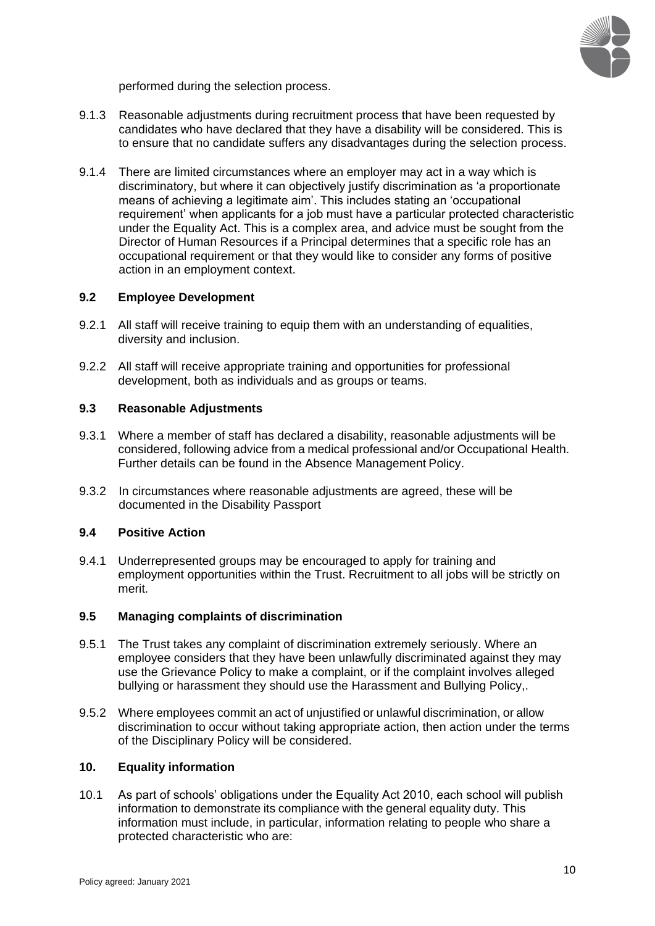

performed during the selection process.

- 9.1.3 Reasonable adjustments during recruitment process that have been requested by candidates who have declared that they have a disability will be considered. This is to ensure that no candidate suffers any disadvantages during the selection process.
- 9.1.4 There are limited circumstances where an employer may act in a way which is discriminatory, but where it can objectively justify discrimination as 'a proportionate means of achieving a legitimate aim'. This includes stating an 'occupational requirement' when applicants for a job must have a particular protected characteristic under the Equality Act. This is a complex area, and advice must be sought from the Director of Human Resources if a Principal determines that a specific role has an occupational requirement or that they would like to consider any forms of positive action in an employment context.

#### **9.2 Employee Development**

- 9.2.1 All staff will receive training to equip them with an understanding of equalities, diversity and inclusion.
- 9.2.2 All staff will receive appropriate training and opportunities for professional development, both as individuals and as groups or teams.

#### **9.3 Reasonable Adjustments**

- 9.3.1 Where a member of staff has declared a disability, reasonable adjustments will be considered, following advice from a medical professional and/or Occupational Health. Further details can be found in the Absence Management Policy.
- 9.3.2 In circumstances where reasonable adjustments are agreed, these will be documented in the Disability Passport

## **9.4 Positive Action**

9.4.1 Underrepresented groups may be encouraged to apply for training and employment opportunities within the Trust. Recruitment to all jobs will be strictly on merit.

#### **9.5 Managing complaints of discrimination**

- 9.5.1 The Trust takes any complaint of discrimination extremely seriously. Where an employee considers that they have been unlawfully discriminated against they may use the Grievance Policy to make a complaint, or if the complaint involves alleged bullying or harassment they should use the Harassment and Bullying Policy,.
- 9.5.2 Where employees commit an act of unjustified or unlawful discrimination, or allow discrimination to occur without taking appropriate action, then action under the terms of the Disciplinary Policy will be considered.

#### **10. Equality information**

10.1 As part of schools' obligations under the Equality Act 2010, each school will publish information to demonstrate its compliance with the general equality duty. This information must include, in particular, information relating to people who share a protected characteristic who are: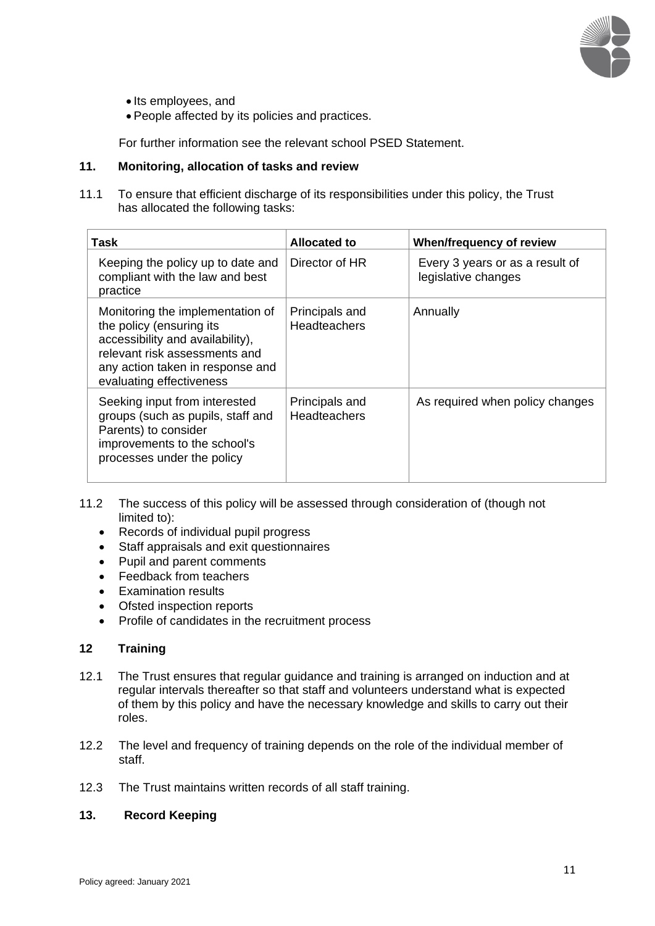

- Its employees, and
- People affected by its policies and practices.

For further information see the relevant school PSED Statement.

#### **11. Monitoring, allocation of tasks and review**

11.1 To ensure that efficient discharge of its responsibilities under this policy, the Trust has allocated the following tasks:

| Task                                                                                                                                                                                              | <b>Allocated to</b>                   | When/frequency of review                               |
|---------------------------------------------------------------------------------------------------------------------------------------------------------------------------------------------------|---------------------------------------|--------------------------------------------------------|
| Keeping the policy up to date and<br>compliant with the law and best<br>practice                                                                                                                  | Director of HR                        | Every 3 years or as a result of<br>legislative changes |
| Monitoring the implementation of<br>the policy (ensuring its<br>accessibility and availability),<br>relevant risk assessments and<br>any action taken in response and<br>evaluating effectiveness | Principals and<br><b>Headteachers</b> | Annually                                               |
| Seeking input from interested<br>groups (such as pupils, staff and<br>Parents) to consider<br>improvements to the school's<br>processes under the policy                                          | Principals and<br><b>Headteachers</b> | As required when policy changes                        |

- 11.2 The success of this policy will be assessed through consideration of (though not limited to):
	- Records of individual pupil progress
	- Staff appraisals and exit questionnaires
	- Pupil and parent comments
	- Feedback from teachers
	- Examination results
	- Ofsted inspection reports
	- Profile of candidates in the recruitment process

## **12 Training**

- 12.1 The Trust ensures that regular guidance and training is arranged on induction and at regular intervals thereafter so that staff and volunteers understand what is expected of them by this policy and have the necessary knowledge and skills to carry out their roles.
- 12.2 The level and frequency of training depends on the role of the individual member of staff.
- 12.3 The Trust maintains written records of all staff training.

# **13. Record Keeping**